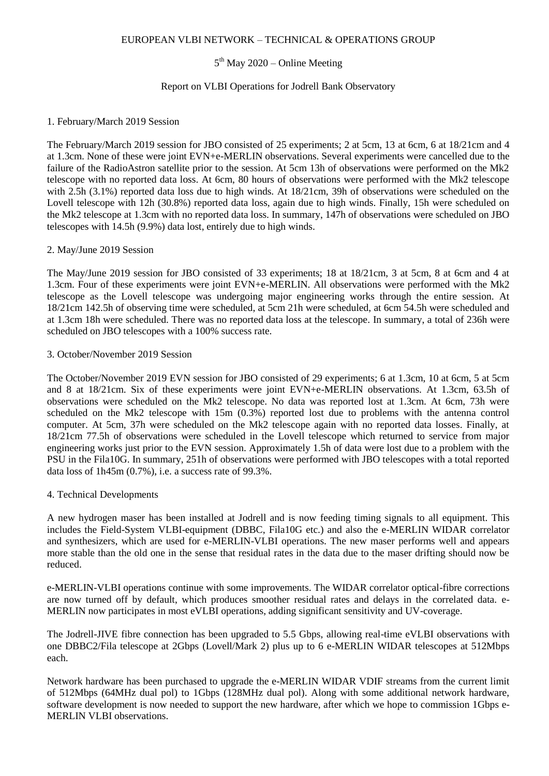## EUROPEAN VLBI NETWORK – TECHNICAL & OPERATIONS GROUP

# 5<sup>th</sup> May 2020 – Online Meeting

## Report on VLBI Operations for Jodrell Bank Observatory

#### 1. February/March 2019 Session

The February/March 2019 session for JBO consisted of 25 experiments; 2 at 5cm, 13 at 6cm, 6 at 18/21cm and 4 at 1.3cm. None of these were joint EVN+e-MERLIN observations. Several experiments were cancelled due to the failure of the RadioAstron satellite prior to the session. At 5cm 13h of observations were performed on the Mk2 telescope with no reported data loss. At 6cm, 80 hours of observations were performed with the Mk2 telescope with 2.5h (3.1%) reported data loss due to high winds. At 18/21cm, 39h of observations were scheduled on the Lovell telescope with 12h (30.8%) reported data loss, again due to high winds. Finally, 15h were scheduled on the Mk2 telescope at 1.3cm with no reported data loss. In summary, 147h of observations were scheduled on JBO telescopes with 14.5h (9.9%) data lost, entirely due to high winds.

## 2. May/June 2019 Session

The May/June 2019 session for JBO consisted of 33 experiments; 18 at 18/21cm, 3 at 5cm, 8 at 6cm and 4 at 1.3cm. Four of these experiments were joint EVN+e-MERLIN. All observations were performed with the Mk2 telescope as the Lovell telescope was undergoing major engineering works through the entire session. At 18/21cm 142.5h of observing time were scheduled, at 5cm 21h were scheduled, at 6cm 54.5h were scheduled and at 1.3cm 18h were scheduled. There was no reported data loss at the telescope. In summary, a total of 236h were scheduled on JBO telescopes with a 100% success rate.

## 3. October/November 2019 Session

The October/November 2019 EVN session for JBO consisted of 29 experiments; 6 at 1.3cm, 10 at 6cm, 5 at 5cm and 8 at 18/21cm. Six of these experiments were joint EVN+e-MERLIN observations. At 1.3cm, 63.5h of observations were scheduled on the Mk2 telescope. No data was reported lost at 1.3cm. At 6cm, 73h were scheduled on the Mk2 telescope with 15m (0.3%) reported lost due to problems with the antenna control computer. At 5cm, 37h were scheduled on the Mk2 telescope again with no reported data losses. Finally, at 18/21cm 77.5h of observations were scheduled in the Lovell telescope which returned to service from major engineering works just prior to the EVN session. Approximately 1.5h of data were lost due to a problem with the PSU in the Fila10G. In summary, 251h of observations were performed with JBO telescopes with a total reported data loss of 1h45m (0.7%), i.e. a success rate of 99.3%.

#### 4. Technical Developments

A new hydrogen maser has been installed at Jodrell and is now feeding timing signals to all equipment. This includes the Field-System VLBI-equipment (DBBC, Fila10G etc.) and also the e-MERLIN WIDAR correlator and synthesizers, which are used for e-MERLIN-VLBI operations. The new maser performs well and appears more stable than the old one in the sense that residual rates in the data due to the maser drifting should now be reduced.

e-MERLIN-VLBI operations continue with some improvements. The WIDAR correlator optical-fibre corrections are now turned off by default, which produces smoother residual rates and delays in the correlated data. e-MERLIN now participates in most eVLBI operations, adding significant sensitivity and UV-coverage.

The Jodrell-JIVE fibre connection has been upgraded to 5.5 Gbps, allowing real-time eVLBI observations with one DBBC2/Fila telescope at 2Gbps (Lovell/Mark 2) plus up to 6 e-MERLIN WIDAR telescopes at 512Mbps each.

Network hardware has been purchased to upgrade the e-MERLIN WIDAR VDIF streams from the current limit of 512Mbps (64MHz dual pol) to 1Gbps (128MHz dual pol). Along with some additional network hardware, software development is now needed to support the new hardware, after which we hope to commission 1Gbps e-MERLIN VLBI observations.